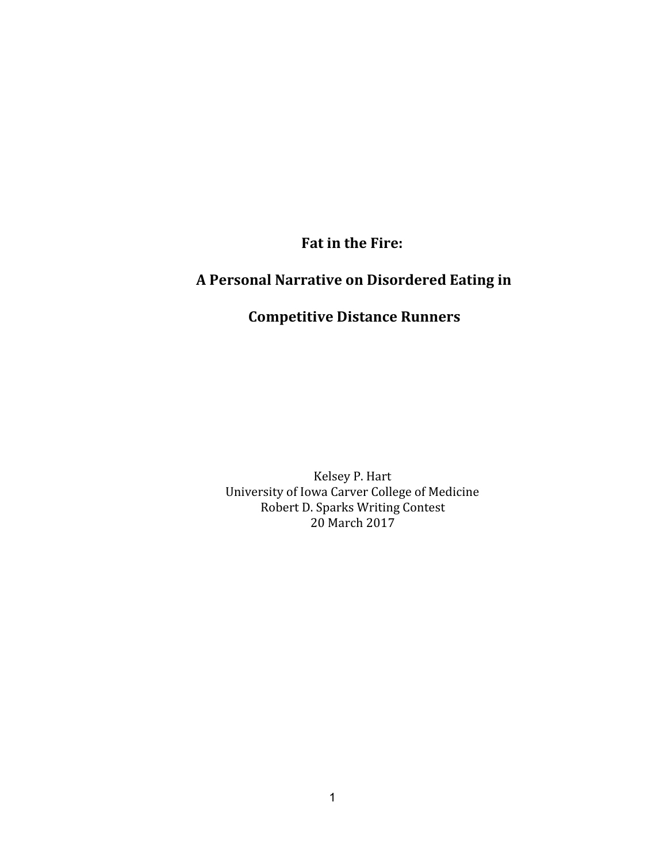Fat in the Fire:

## A Personal Narrative on Disordered Eating in

## Competitive Distance Runners

Kelsey P. Hart University of Iowa Carver College of Medicine Robert D. Sparks Writing Contest 20 March 2017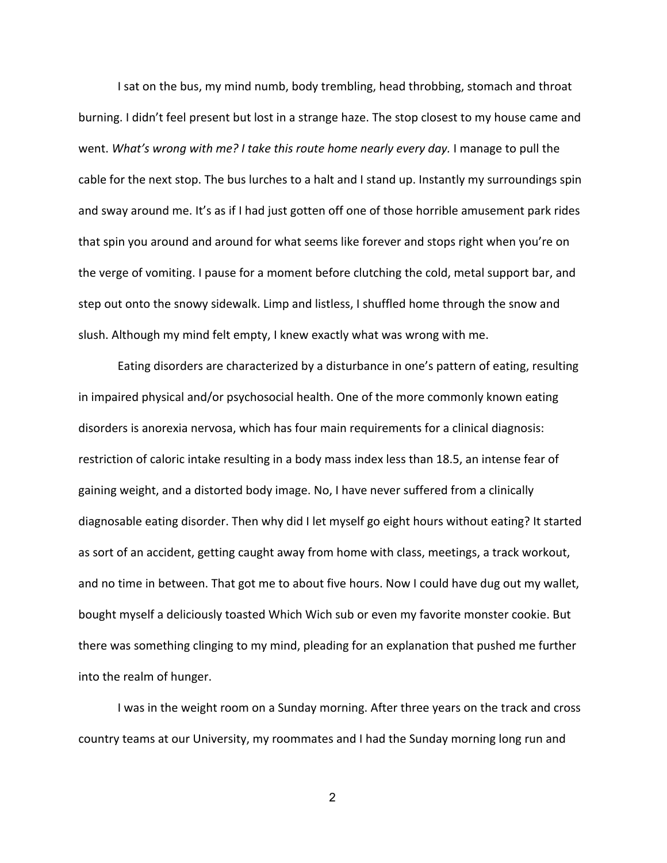I sat on the bus, my mind numb, body trembling, head throbbing, stomach and throat burning. I didn't feel present but lost in a strange haze. The stop closest to my house came and went. What's wrong with me? I take this route home nearly every day. I manage to pull the cable for the next stop. The bus lurches to a halt and I stand up. Instantly my surroundings spin and sway around me. It's as if I had just gotten off one of those horrible amusement park rides that spin you around and around for what seems like forever and stops right when you're on the verge of vomiting. I pause for a moment before clutching the cold, metal support bar, and step out onto the snowy sidewalk. Limp and listless, I shuffled home through the snow and slush. Although my mind felt empty, I knew exactly what was wrong with me.

Eating disorders are characterized by a disturbance in one's pattern of eating, resulting in impaired physical and/or psychosocial health. One of the more commonly known eating disorders is anorexia nervosa, which has four main requirements for a clinical diagnosis: restriction of caloric intake resulting in a body mass index less than 18.5, an intense fear of gaining weight, and a distorted body image. No, I have never suffered from a clinically diagnosable eating disorder. Then why did I let myself go eight hours without eating? It started as sort of an accident, getting caught away from home with class, meetings, a track workout, and no time in between. That got me to about five hours. Now I could have dug out my wallet, bought myself a deliciously toasted Which Wich sub or even my favorite monster cookie. But there was something clinging to my mind, pleading for an explanation that pushed me further into the realm of hunger.

I was in the weight room on a Sunday morning. After three years on the track and cross country teams at our University, my roommates and I had the Sunday morning long run and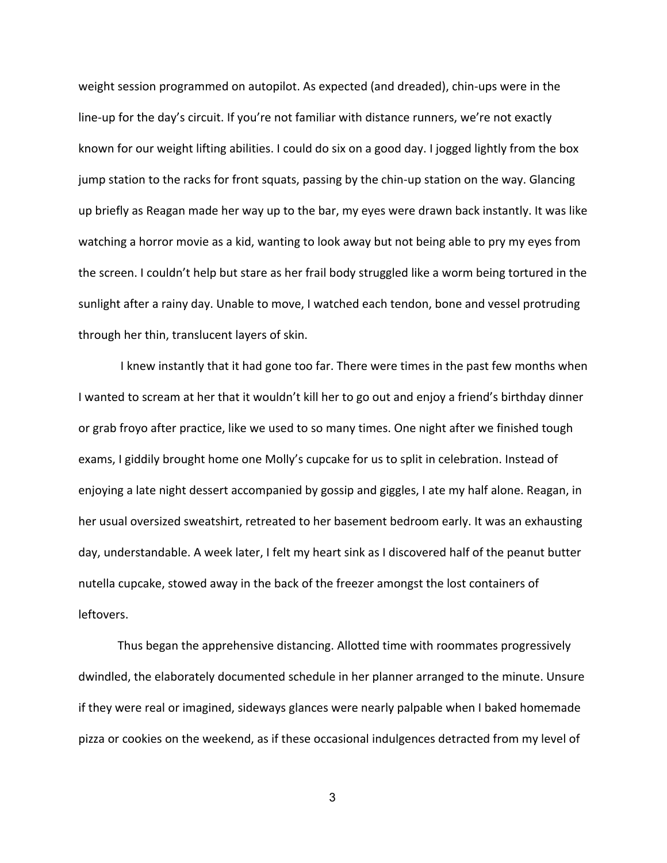weight session programmed on autopilot. As expected (and dreaded), chin-ups were in the line-up for the day's circuit. If you're not familiar with distance runners, we're not exactly known for our weight lifting abilities. I could do six on a good day. I jogged lightly from the box jump station to the racks for front squats, passing by the chin-up station on the way. Glancing up briefly as Reagan made her way up to the bar, my eyes were drawn back instantly. It was like watching a horror movie as a kid, wanting to look away but not being able to pry my eyes from the screen. I couldn't help but stare as her frail body struggled like a worm being tortured in the sunlight after a rainy day. Unable to move, I watched each tendon, bone and vessel protruding through her thin, translucent layers of skin.

 I knew instantly that it had gone too far. There were times in the past few months when I wanted to scream at her that it wouldn't kill her to go out and enjoy a friend's birthday dinner or grab froyo after practice, like we used to so many times. One night after we finished tough exams, I giddily brought home one Molly's cupcake for us to split in celebration. Instead of enjoying a late night dessert accompanied by gossip and giggles, I ate my half alone. Reagan, in her usual oversized sweatshirt, retreated to her basement bedroom early. It was an exhausting day, understandable. A week later, I felt my heart sink as I discovered half of the peanut butter nutella cupcake, stowed away in the back of the freezer amongst the lost containers of leftovers.

Thus began the apprehensive distancing. Allotted time with roommates progressively dwindled, the elaborately documented schedule in her planner arranged to the minute. Unsure if they were real or imagined, sideways glances were nearly palpable when I baked homemade pizza or cookies on the weekend, as if these occasional indulgences detracted from my level of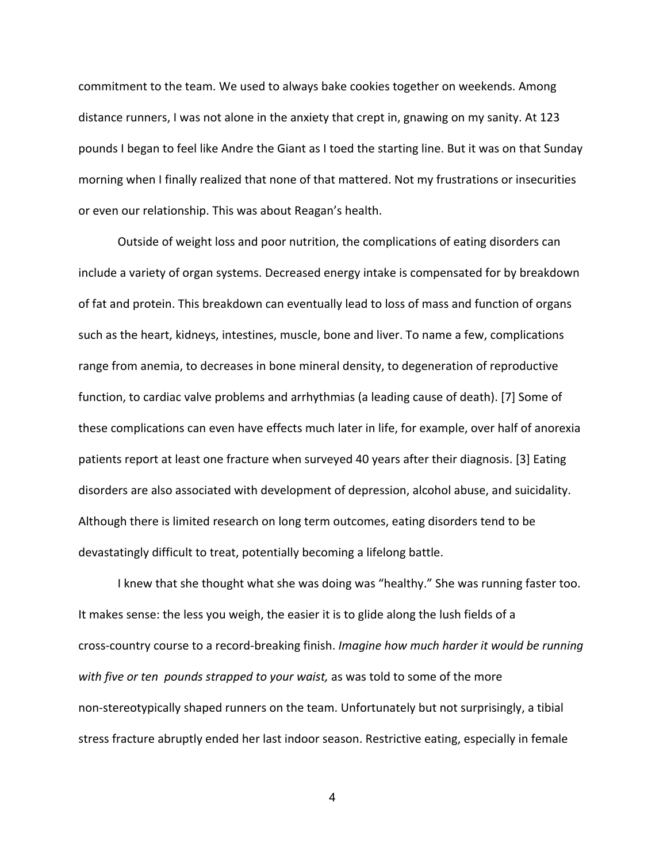commitment to the team. We used to always bake cookies together on weekends. Among distance runners, I was not alone in the anxiety that crept in, gnawing on my sanity. At 123 pounds I began to feel like Andre the Giant as I toed the starting line. But it was on that Sunday morning when I finally realized that none of that mattered. Not my frustrations or insecurities or even our relationship. This was about Reagan's health.

Outside of weight loss and poor nutrition, the complications of eating disorders can include a variety of organ systems. Decreased energy intake is compensated for by breakdown of fat and protein. This breakdown can eventually lead to loss of mass and function of organs such as the heart, kidneys, intestines, muscle, bone and liver. To name a few, complications range from anemia, to decreases in bone mineral density, to degeneration of reproductive function, to cardiac valve problems and arrhythmias (a leading cause of death). [7] Some of these complications can even have effects much later in life, for example, over half of anorexia patients report at least one fracture when surveyed 40 years after their diagnosis. [3] Eating disorders are also associated with development of depression, alcohol abuse, and suicidality. Although there is limited research on long term outcomes, eating disorders tend to be devastatingly difficult to treat, potentially becoming a lifelong battle.

I knew that she thought what she was doing was "healthy." She was running faster too. It makes sense: the less you weigh, the easier it is to glide along the lush fields of a cross-country course to a record-breaking finish. Imagine how much harder it would be running with five or ten pounds strapped to your waist, as was told to some of the more non-stereotypically shaped runners on the team. Unfortunately but not surprisingly, a tibial stress fracture abruptly ended her last indoor season. Restrictive eating, especially in female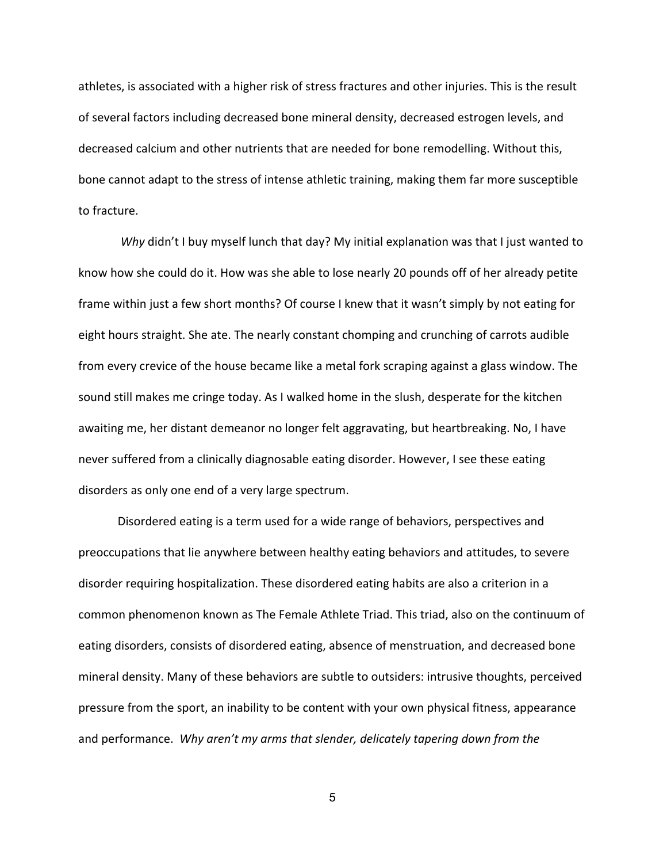athletes, is associated with a higher risk of stress fractures and other injuries. This is the result of several factors including decreased bone mineral density, decreased estrogen levels, and decreased calcium and other nutrients that are needed for bone remodelling. Without this, bone cannot adapt to the stress of intense athletic training, making them far more susceptible to fracture.

Why didn't I buy myself lunch that day? My initial explanation was that I just wanted to know how she could do it. How was she able to lose nearly 20 pounds off of her already petite frame within just a few short months? Of course I knew that it wasn't simply by not eating for eight hours straight. She ate. The nearly constant chomping and crunching of carrots audible from every crevice of the house became like a metal fork scraping against a glass window. The sound still makes me cringe today. As I walked home in the slush, desperate for the kitchen awaiting me, her distant demeanor no longer felt aggravating, but heartbreaking. No, I have never suffered from a clinically diagnosable eating disorder. However, I see these eating disorders as only one end of a very large spectrum.

Disordered eating is a term used for a wide range of behaviors, perspectives and preoccupations that lie anywhere between healthy eating behaviors and attitudes, to severe disorder requiring hospitalization. These disordered eating habits are also a criterion in a common phenomenon known as The Female Athlete Triad. This triad, also on the continuum of eating disorders, consists of disordered eating, absence of menstruation, and decreased bone mineral density. Many of these behaviors are subtle to outsiders: intrusive thoughts, perceived pressure from the sport, an inability to be content with your own physical fitness, appearance and performance. Why aren't my arms that slender, delicately tapering down from the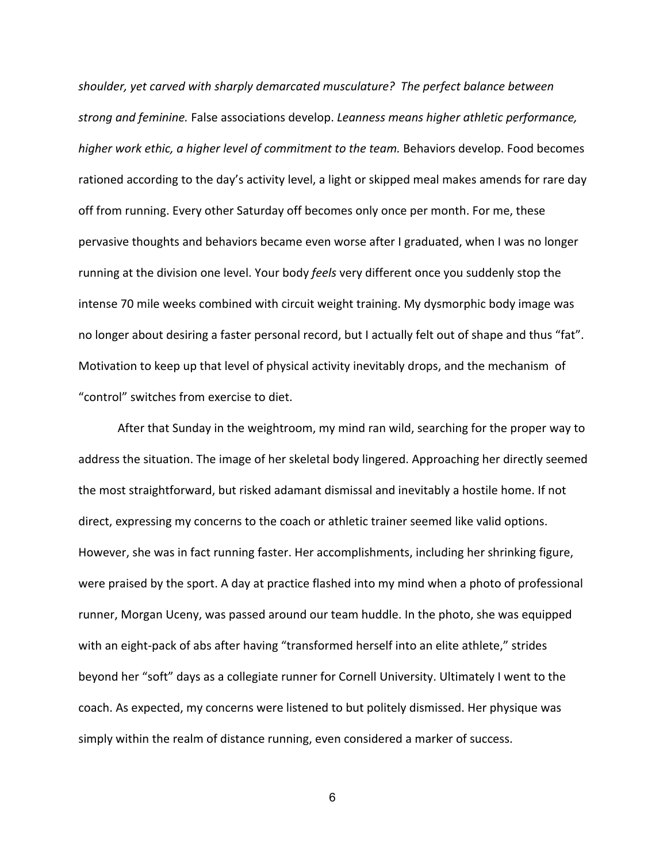shoulder, yet carved with sharply demarcated musculature? The perfect balance between strong and feminine. False associations develop. Leanness means higher athletic performance, higher work ethic, a higher level of commitment to the team. Behaviors develop. Food becomes rationed according to the day's activity level, a light or skipped meal makes amends for rare day off from running. Every other Saturday off becomes only once per month. For me, these pervasive thoughts and behaviors became even worse after I graduated, when I was no longer running at the division one level. Your body feels very different once you suddenly stop the intense 70 mile weeks combined with circuit weight training. My dysmorphic body image was no longer about desiring a faster personal record, but I actually felt out of shape and thus "fat". Motivation to keep up that level of physical activity inevitably drops, and the mechanism of "control" switches from exercise to diet.

After that Sunday in the weightroom, my mind ran wild, searching for the proper way to address the situation. The image of her skeletal body lingered. Approaching her directly seemed the most straightforward, but risked adamant dismissal and inevitably a hostile home. If not direct, expressing my concerns to the coach or athletic trainer seemed like valid options. However, she was in fact running faster. Her accomplishments, including her shrinking figure, were praised by the sport. A day at practice flashed into my mind when a photo of professional runner, Morgan Uceny, was passed around our team huddle. In the photo, she was equipped with an eight-pack of abs after having "transformed herself into an elite athlete," strides beyond her "soft" days as a collegiate runner for Cornell University. Ultimately I went to the coach. As expected, my concerns were listened to but politely dismissed. Her physique was simply within the realm of distance running, even considered a marker of success.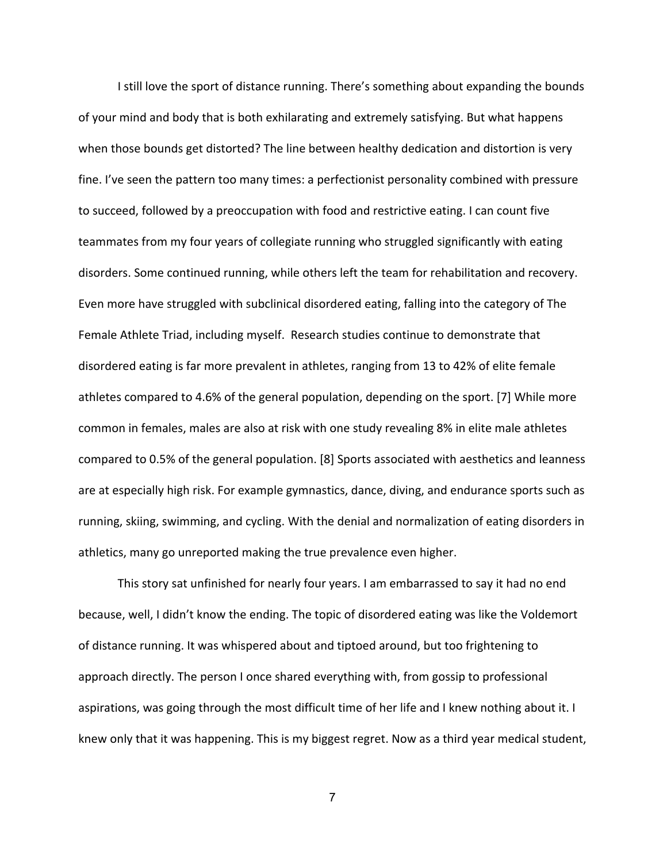I still love the sport of distance running. There's something about expanding the bounds of your mind and body that is both exhilarating and extremely satisfying. But what happens when those bounds get distorted? The line between healthy dedication and distortion is very fine. I've seen the pattern too many times: a perfectionist personality combined with pressure to succeed, followed by a preoccupation with food and restrictive eating. I can count five teammates from my four years of collegiate running who struggled significantly with eating disorders. Some continued running, while others left the team for rehabilitation and recovery. Even more have struggled with subclinical disordered eating, falling into the category of The Female Athlete Triad, including myself. Research studies continue to demonstrate that disordered eating is far more prevalent in athletes, ranging from 13 to 42% of elite female athletes compared to 4.6% of the general population, depending on the sport. [7] While more common in females, males are also at risk with one study revealing 8% in elite male athletes compared to 0.5% of the general population. [8] Sports associated with aesthetics and leanness are at especially high risk. For example gymnastics, dance, diving, and endurance sports such as running, skiing, swimming, and cycling. With the denial and normalization of eating disorders in athletics, many go unreported making the true prevalence even higher.

This story sat unfinished for nearly four years. I am embarrassed to say it had no end because, well, I didn't know the ending. The topic of disordered eating was like the Voldemort of distance running. It was whispered about and tiptoed around, but too frightening to approach directly. The person I once shared everything with, from gossip to professional aspirations, was going through the most difficult time of her life and I knew nothing about it. I knew only that it was happening. This is my biggest regret. Now as a third year medical student,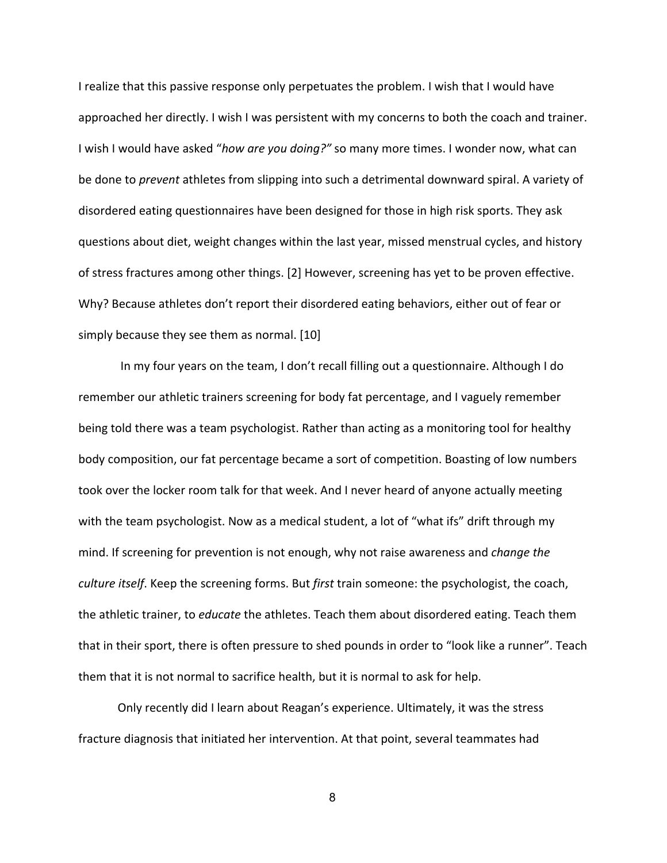I realize that this passive response only perpetuates the problem. I wish that I would have approached her directly. I wish I was persistent with my concerns to both the coach and trainer. I wish I would have asked "how are you doing?" so many more times. I wonder now, what can be done to prevent athletes from slipping into such a detrimental downward spiral. A variety of disordered eating questionnaires have been designed for those in high risk sports. They ask questions about diet, weight changes within the last year, missed menstrual cycles, and history of stress fractures among other things. [2] However, screening has yet to be proven effective. Why? Because athletes don't report their disordered eating behaviors, either out of fear or simply because they see them as normal. [10]

 In my four years on the team, I don't recall filling out a questionnaire. Although I do remember our athletic trainers screening for body fat percentage, and I vaguely remember being told there was a team psychologist. Rather than acting as a monitoring tool for healthy body composition, our fat percentage became a sort of competition. Boasting of low numbers took over the locker room talk for that week. And I never heard of anyone actually meeting with the team psychologist. Now as a medical student, a lot of "what ifs" drift through my mind. If screening for prevention is not enough, why not raise awareness and *change the* culture itself. Keep the screening forms. But first train someone: the psychologist, the coach, the athletic trainer, to *educate* the athletes. Teach them about disordered eating. Teach them that in their sport, there is often pressure to shed pounds in order to "look like a runner". Teach them that it is not normal to sacrifice health, but it is normal to ask for help.

Only recently did I learn about Reagan's experience. Ultimately, it was the stress fracture diagnosis that initiated her intervention. At that point, several teammates had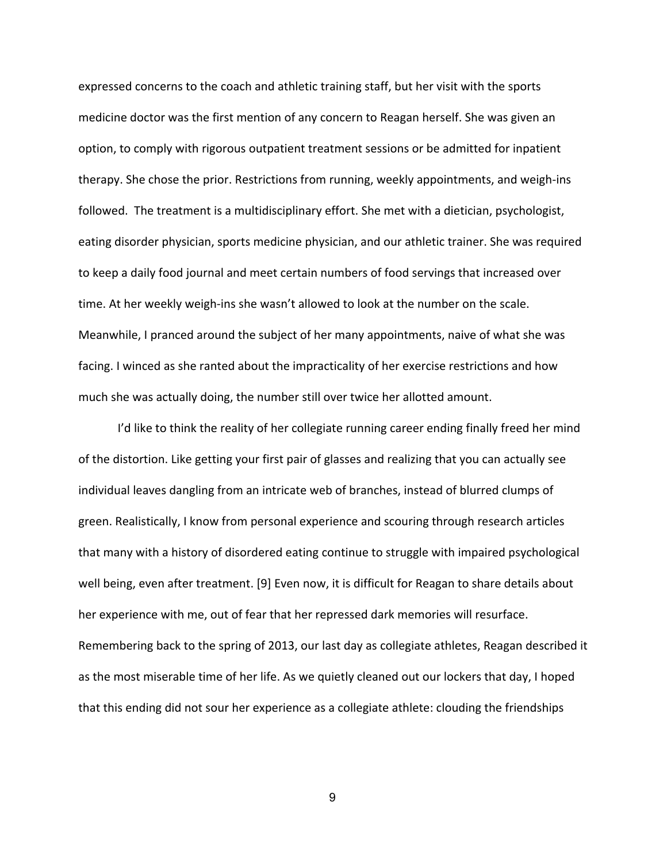expressed concerns to the coach and athletic training staff, but her visit with the sports medicine doctor was the first mention of any concern to Reagan herself. She was given an option, to comply with rigorous outpatient treatment sessions or be admitted for inpatient therapy. She chose the prior. Restrictions from running, weekly appointments, and weigh-ins followed. The treatment is a multidisciplinary effort. She met with a dietician, psychologist, eating disorder physician, sports medicine physician, and our athletic trainer. She was required to keep a daily food journal and meet certain numbers of food servings that increased over time. At her weekly weigh-ins she wasn't allowed to look at the number on the scale. Meanwhile, I pranced around the subject of her many appointments, naive of what she was facing. I winced as she ranted about the impracticality of her exercise restrictions and how much she was actually doing, the number still over twice her allotted amount.

I'd like to think the reality of her collegiate running career ending finally freed her mind of the distortion. Like getting your first pair of glasses and realizing that you can actually see individual leaves dangling from an intricate web of branches, instead of blurred clumps of green. Realistically, I know from personal experience and scouring through research articles that many with a history of disordered eating continue to struggle with impaired psychological well being, even after treatment. [9] Even now, it is difficult for Reagan to share details about her experience with me, out of fear that her repressed dark memories will resurface. Remembering back to the spring of 2013, our last day as collegiate athletes, Reagan described it as the most miserable time of her life. As we quietly cleaned out our lockers that day, I hoped that this ending did not sour her experience as a collegiate athlete: clouding the friendships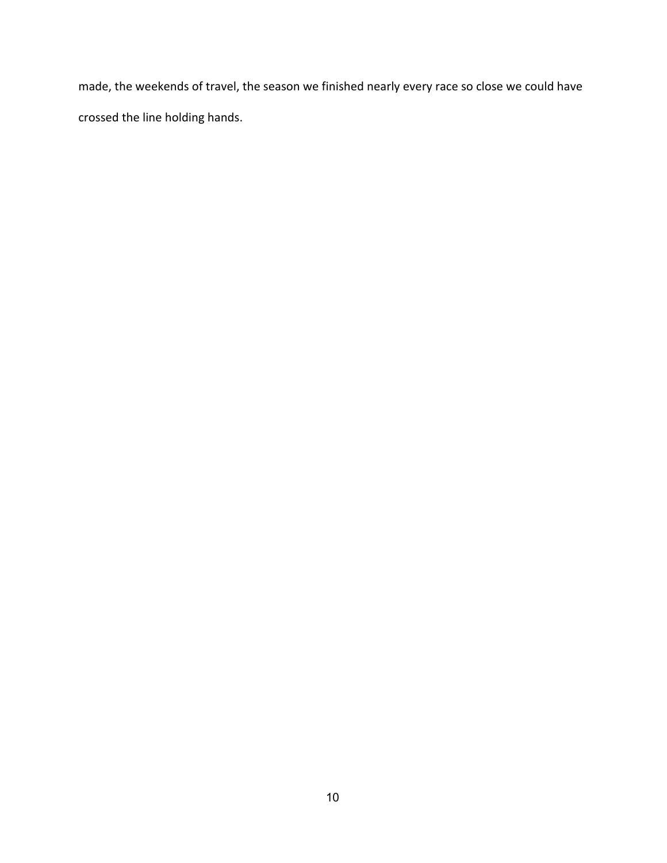made, the weekends of travel, the season we finished nearly every race so close we could have crossed the line holding hands.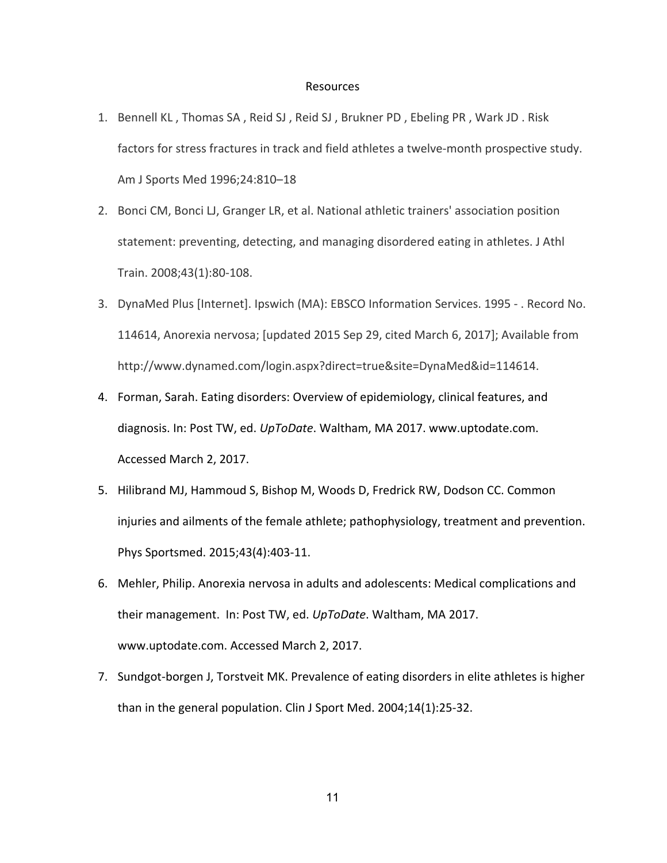## Resources

- 1. Bennell KL , Thomas SA , Reid SJ , Reid SJ , Brukner PD , Ebeling PR , Wark JD . Risk factors for stress fractures in track and field athletes a twelve-month prospective study. Am J Sports Med 1996;24:810–18
- 2. Bonci CM, Bonci LJ, Granger LR, et al. National athletic trainers' association position statement: preventing, detecting, and managing disordered eating in athletes. J Athl Train. 2008;43(1):80-108.
- 3. DynaMed Plus [Internet]. Ipswich (MA): EBSCO Information Services. 1995 . Record No. 114614, Anorexia nervosa; [updated 2015 Sep 29, cited March 6, 2017]; Available from http://www.dynamed.com/login.aspx?direct=true&site=DynaMed&id=114614.
- 4. Forman, Sarah. Eating disorders: Overview of epidemiology, clinical features, and diagnosis. In: Post TW, ed. UpToDate. Waltham, MA 2017. www.uptodate.com. Accessed March 2, 2017.
- 5. Hilibrand MJ, Hammoud S, Bishop M, Woods D, Fredrick RW, Dodson CC. Common injuries and ailments of the female athlete; pathophysiology, treatment and prevention. Phys Sportsmed. 2015;43(4):403-11.
- 6. Mehler, Philip. Anorexia nervosa in adults and adolescents: Medical complications and their management. In: Post TW, ed. UpToDate. Waltham, MA 2017. www.uptodate.com. Accessed March 2, 2017.
- 7. Sundgot-borgen J, Torstveit MK. Prevalence of eating disorders in elite athletes is higher than in the general population. Clin J Sport Med. 2004;14(1):25-32.